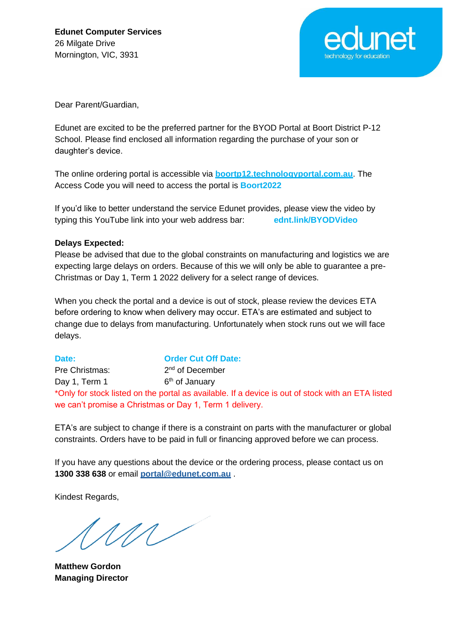

Dear Parent/Guardian,

Edunet are excited to be the preferred partner for the BYOD Portal at Boort District P-12 School. Please find enclosed all information regarding the purchase of your son or daughter's device.

The online ordering portal is accessible via **boortp12.technologyportal.com.au**. The Access Code you will need to access the portal is **Boort2022**

If you'd like to better understand the service Edunet provides, please view the video by typing this YouTube link into your web address bar: **ednt.link/BYODVideo**

#### **Delays Expected:**

Please be advised that due to the global constraints on manufacturing and logistics we are expecting large delays on orders. Because of this we will only be able to guarantee a pre-Christmas or Day 1, Term 1 2022 delivery for a select range of devices.

When you check the portal and a device is out of stock, please review the devices ETA before ordering to know when delivery may occur. ETA's are estimated and subject to change due to delays from manufacturing. Unfortunately when stock runs out we will face delays.

**Date: Order Cut Off Date:** Pre Christmas: 2<sup>nd</sup> of December Day 1, Term 1  $6<sup>th</sup>$  of January \*Only for stock listed on the portal as available. If a device is out of stock with an ETA listed we can't promise a Christmas or Day 1, Term 1 delivery.

ETA's are subject to change if there is a constraint on parts with the manufacturer or global constraints. Orders have to be paid in full or financing approved before we can process.

If you have any questions about the device or the ordering process, please contact us on **1300 338 638** or email **[portal@edunet.com.au](mailto:portal@edunet.com.au)** .

Kindest Regards,

 $111$ 

**Matthew Gordon Managing Director**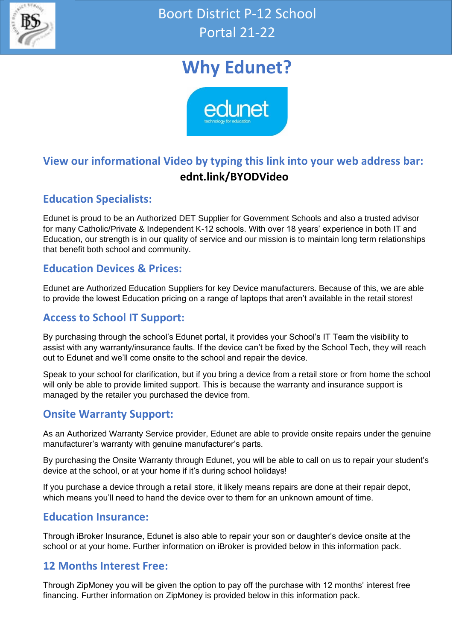

# **Why Edunet?**



### **View our informational Video by typing this link into your web address bar: ednt.link/BYODVideo**

### **Education Specialists:**

Edunet is proud to be an Authorized DET Supplier for Government Schools and also a trusted advisor for many Catholic/Private & Independent K-12 schools. With over 18 years' experience in both IT and Education, our strength is in our quality of service and our mission is to maintain long term relationships that benefit both school and community.

### **Education Devices & Prices:**

Edunet are Authorized Education Suppliers for key Device manufacturers. Because of this, we are able to provide the lowest Education pricing on a range of laptops that aren't available in the retail stores!

### **Access to School IT Support:**

By purchasing through the school's Edunet portal, it provides your School's IT Team the visibility to assist with any warranty/insurance faults. If the device can't be fixed by the School Tech, they will reach out to Edunet and we'll come onsite to the school and repair the device.

Speak to your school for clarification, but if you bring a device from a retail store or from home the school will only be able to provide limited support. This is because the warranty and insurance support is managed by the retailer you purchased the device from.

### **Onsite Warranty Support:**

As an Authorized Warranty Service provider, Edunet are able to provide onsite repairs under the genuine manufacturer's warranty with genuine manufacturer's parts.

By purchasing the Onsite Warranty through Edunet, you will be able to call on us to repair your student's device at the school, or at your home if it's during school holidays!

If you purchase a device through a retail store, it likely means repairs are done at their repair depot, which means you'll need to hand the device over to them for an unknown amount of time.

### **Education Insurance:**

Through iBroker Insurance, Edunet is also able to repair your son or daughter's device onsite at the school or at your home. Further information on iBroker is provided below in this information pack.

### **12 Months Interest Free:**

Through ZipMoney you will be given the option to pay off the purchase with 12 months' interest free financing. Further information on ZipMoney is provided below in this information pack.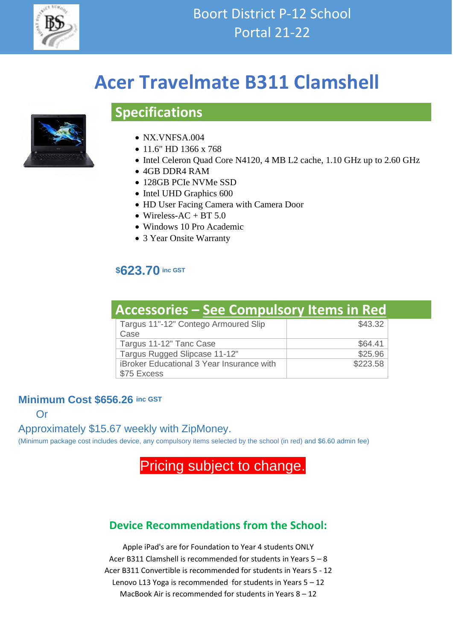

# **Acer Travelmate B311 Clamshell**



## • NX.VNFSA.004

**Specifications**

- 11.6" HD 1366 x 768
- Intel Celeron Quad Core N4120, 4 MB L2 cache, 1.10 GHz up to 2.60 GHz
- 4GB DDR4 RAM
- 128GB PCIe NVMe SSD
- Intel UHD Graphics 600
- HD User Facing Camera with Camera Door
- Wireless-AC + BT  $5.0$
- Windows 10 Pro Academic
- 3 Year Onsite Warranty

### **\$623.70 inc GST**

| <b>Accessories - See Compulsory Items in Red</b>                |          |
|-----------------------------------------------------------------|----------|
| Targus 11"-12" Contego Armoured Slip<br>Case                    | \$43.32  |
| Targus 11-12" Tanc Case                                         | \$64.41  |
| Targus Rugged Slipcase 11-12"                                   | \$25.96  |
| <b>iBroker Educational 3 Year Insurance with</b><br>\$75 Excess | \$223.58 |

#### **Minimum Cost \$656.26 inc GST**

Or

Approximately \$15.67 weekly with ZipMoney.

(Minimum package cost includes device, any compulsory items selected by the school (in red) and \$6.60 admin fee)

## Pricing subject to change.

### **Device Recommendations from the School:**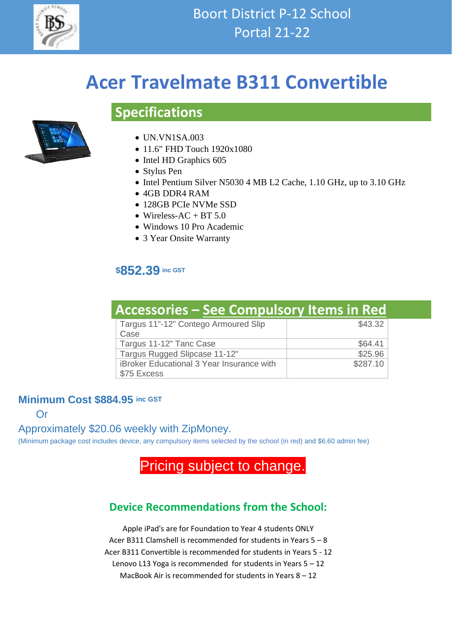

# **Acer Travelmate B311 Convertible**

## **Specifications**



- UN.VN1SA.003
- 11.6" FHD Touch 1920x1080
- Intel HD Graphics 605
- Stylus Pen
- Intel Pentium Silver N5030 4 MB L2 Cache, 1.10 GHz, up to 3.10 GHz
- 4GB DDR4 RAM
- 128GB PCIe NVMe SSD
- Wireless-AC + BT 5.0
- Windows 10 Pro Academic
- 3 Year Onsite Warranty

### **\$852.39 inc GST**

| <b>Accessories - See Compulsory Items in Red</b>                |          |
|-----------------------------------------------------------------|----------|
| Targus 11"-12" Contego Armoured Slip<br>Case                    | \$43.32  |
| Targus 11-12" Tanc Case                                         | \$64.41  |
| Targus Rugged Slipcase 11-12"                                   | \$25.96  |
| <b>iBroker Educational 3 Year Insurance with</b><br>\$75 Excess | \$287.10 |

#### **Minimum Cost \$884.95 inc GST**

Or

Approximately \$20.06 weekly with ZipMoney.

(Minimum package cost includes device, any compulsory items selected by the school (in red) and \$6.60 admin fee)

## Pricing subject to change.

### **Device Recommendations from the School:**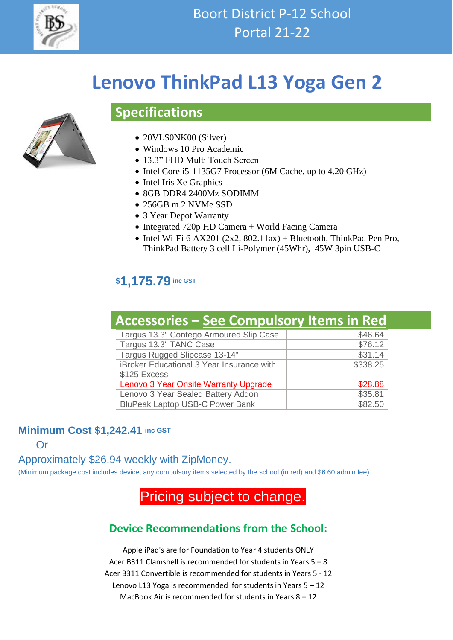

# **Lenovo ThinkPad L13 Yoga Gen 2**



## • 20VLS0NK00 (Silver)

**Specifications**

- Windows 10 Pro Academic
- 13.3" FHD Multi Touch Screen
- Intel Core i5-1135G7 Processor (6M Cache, up to 4.20 GHz)
- Intel Iris Xe Graphics
- 8GB DDR4 2400Mz SODIMM
- 256GB m.2 NVMe SSD
- 3 Year Depot Warranty
- Integrated 720p HD Camera + World Facing Camera
- Intel Wi-Fi  $6$  AX201 (2x2, 802.11ax) + Bluetooth, ThinkPad Pen Pro, ThinkPad Battery 3 cell Li-Polymer (45Whr), 45W 3pin USB-C

### **\$1,175.79 inc GST**

| <b>Accessories - See Compulsory Items in Red</b> |          |
|--------------------------------------------------|----------|
| Targus 13.3" Contego Armoured Slip Case          | \$46.64  |
| Targus 13.3" TANC Case                           | \$76.12  |
| Targus Rugged Slipcase 13-14"                    | \$31.14  |
| iBroker Educational 3 Year Insurance with        | \$338.25 |
| \$125 Excess                                     |          |
| Lenovo 3 Year Onsite Warranty Upgrade            | \$28.88  |
| Lenovo 3 Year Sealed Battery Addon               | \$35.81  |
| <b>BluPeak Laptop USB-C Power Bank</b>           | \$82.50  |

#### **Minimum Cost \$1,242.41 inc GST**

Or

### Approximately \$26.94 weekly with ZipMoney.

(Minimum package cost includes device, any compulsory items selected by the school (in red) and \$6.60 admin fee)

## Pricing subject to change.

### **Device Recommendations from the School:**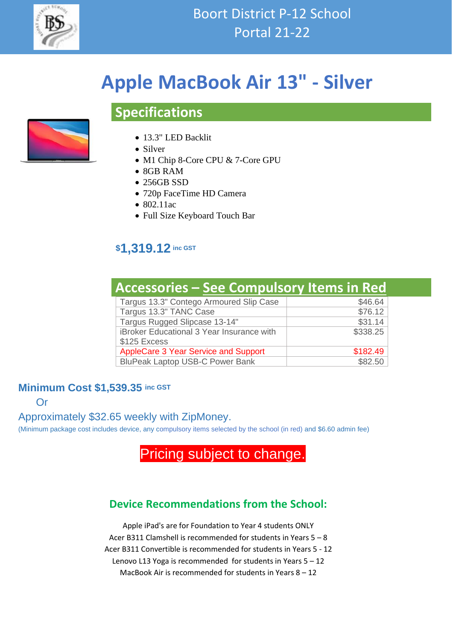

# **Apple MacBook Air 13" - Silver**

## **Specifications**



- 13.3" LED Backlit
- Silver
- M1 Chip 8-Core CPU & 7-Core GPU
- 8GB RAM
- 256GB SSD
- 720p FaceTime HD Camera
- 802.11ac
- Full Size Keyboard Touch Bar

### **\$1,319.12 inc GST**

| <b>Accessories – See Compulsory Items in Red</b> |          |
|--------------------------------------------------|----------|
| Targus 13.3" Contego Armoured Slip Case          | \$46.64  |
| Targus 13.3" TANC Case                           | \$76.12  |
| Targus Rugged Slipcase 13-14"                    | \$31.14  |
| iBroker Educational 3 Year Insurance with        | \$338.25 |
| \$125 Excess                                     |          |
| AppleCare 3 Year Service and Support             | \$182.49 |
| <b>BluPeak Laptop USB-C Power Bank</b>           | \$82.50  |

### **Minimum Cost \$1,539.35 inc GST**

Or

Approximately \$32.65 weekly with ZipMoney.

(Minimum package cost includes device, any compulsory items selected by the school (in red) and \$6.60 admin fee)

# Pricing subject to change.

### **Device Recommendations from the School:**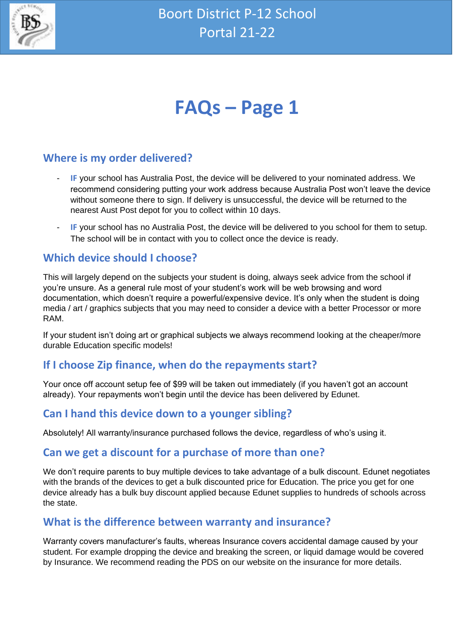

# **FAQs – Page 1**

### **Where is my order delivered?**

- **IF** your school has Australia Post, the device will be delivered to your nominated address. We recommend considering putting your work address because Australia Post won't leave the device without someone there to sign. If delivery is unsuccessful, the device will be returned to the nearest Aust Post depot for you to collect within 10 days.
- **IF** your school has no Australia Post, the device will be delivered to you school for them to setup. The school will be in contact with you to collect once the device is ready.

### **Which device should I choose?**

This will largely depend on the subjects your student is doing, always seek advice from the school if you're unsure. As a general rule most of your student's work will be web browsing and word documentation, which doesn't require a powerful/expensive device. It's only when the student is doing media / art / graphics subjects that you may need to consider a device with a better Processor or more RAM.

If your student isn't doing art or graphical subjects we always recommend looking at the cheaper/more durable Education specific models!

### **If I choose Zip finance, when do the repayments start?**

Your once off account setup fee of \$99 will be taken out immediately (if you haven't got an account already). Your repayments won't begin until the device has been delivered by Edunet.

### **Can I hand this device down to a younger sibling?**

Absolutely! All warranty/insurance purchased follows the device, regardless of who's using it.

#### **Can we get a discount for a purchase of more than one?**

We don't require parents to buy multiple devices to take advantage of a bulk discount. Edunet negotiates with the brands of the devices to get a bulk discounted price for Education. The price you get for one device already has a bulk buy discount applied because Edunet supplies to hundreds of schools across the state.

### **What is the difference between warranty and insurance?**

Warranty covers manufacturer's faults, whereas Insurance covers accidental damage caused by your student. For example dropping the device and breaking the screen, or liquid damage would be covered by Insurance. We recommend reading the PDS on our website on the insurance for more details.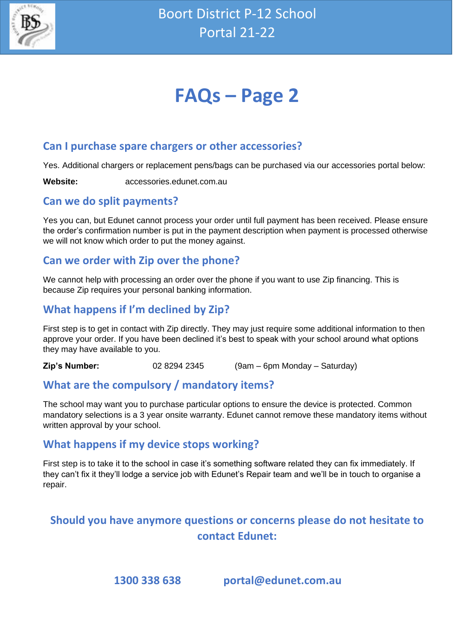

# **FAQs – Page 2**

### **Can I purchase spare chargers or other accessories?**

Yes. Additional chargers or replacement pens/bags can be purchased via our accessories portal below:

**Website:** accessories.edunet.com.au

### **Can we do split payments?**

Yes you can, but Edunet cannot process your order until full payment has been received. Please ensure the order's confirmation number is put in the payment description when payment is processed otherwise we will not know which order to put the money against.

### **Can we order with Zip over the phone?**

We cannot help with processing an order over the phone if you want to use Zip financing. This is because Zip requires your personal banking information.

### **What happens if I'm declined by Zip?**

First step is to get in contact with Zip directly. They may just require some additional information to then approve your order. If you have been declined it's best to speak with your school around what options they may have available to you.

**Zip's Number:** 02 8294 2345 (9am – 6pm Monday – Saturday)

### **What are the compulsory / mandatory items?**

The school may want you to purchase particular options to ensure the device is protected. Common mandatory selections is a 3 year onsite warranty. Edunet cannot remove these mandatory items without written approval by your school.

### **What happens if my device stops working?**

First step is to take it to the school in case it's something software related they can fix immediately. If they can't fix it they'll lodge a service job with Edunet's Repair team and we'll be in touch to organise a repair.

### **Should you have anymore questions or concerns please do not hesitate to contact Edunet:**

**1300 338 638 portal@edunet.com.au**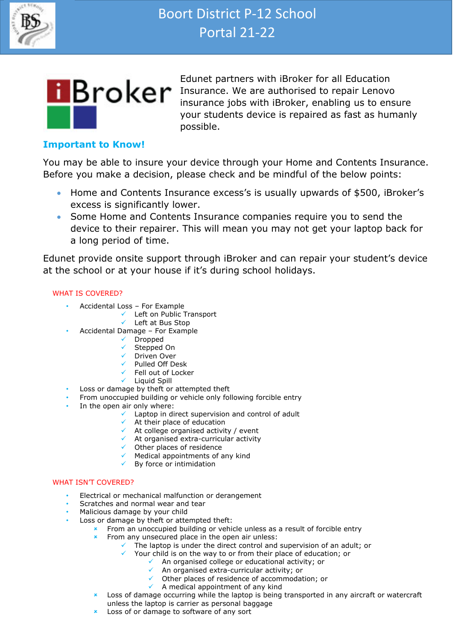



Edunet partners with iBroker for all Education **Broker** Insurance. We are authorised to repair Lenovo insurance jobs with iBroker, enabling us to ensure your students device is repaired as fast as humanly possible.

#### **Important to Know!**

You may be able to insure your device through your Home and Contents Insurance. Before you make a decision, please check and be mindful of the below points:

- Home and Contents Insurance excess's is usually upwards of \$500, iBroker's excess is significantly lower.
- Some Home and Contents Insurance companies require you to send the device to their repairer. This will mean you may not get your laptop back for a long period of time.

Edunet provide onsite support through iBroker and can repair your student's device at the school or at your house if it's during school holidays.

#### WHAT IS COVERED?

- Accidental Loss For Example
	- ✓ Left on Public Transport
		- ✓ Left at Bus Stop
	- Accidental Damage For Example
		- ✓ Dropped
		- ✓ Stepped On
		- ✓ Driven Over
		- ✓ Pulled Off Desk
		- ✓ Fell out of Locker
		- ✓ Liquid Spill
- Loss or damage by theft or attempted theft
- From unoccupied building or vehicle only following forcible entry
- In the open air only where:
	- $\checkmark$  Laptop in direct supervision and control of adult
	- $\checkmark$  At their place of education
		- $\checkmark$  At college organised activity / event
		- ✓ At organised extra-curricular activity
		- ✓ Other places of residence
		- $\checkmark$  Medical appointments of any kind
		- $\checkmark$  By force or intimidation

#### WHAT ISN'T COVERED?

- Electrical or mechanical malfunction or derangement
- Scratches and normal wear and tear
- Malicious damage by your child
- Loss or damage by theft or attempted theft:
	- From an unoccupied building or vehicle unless as a result of forcible entry
	- $\overline{\phantom{a}}$  From any unsecured place in the open air unless:
		- The laptop is under the direct control and supervision of an adult; or
			- Your child is on the way to or from their place of education; or
				- ✓ An organised college or educational activity; or
					- ✓ An organised extra-curricular activity; or
					- ✓ Other places of residence of accommodation; or
					- $\checkmark$  A medical appointment of any kind
	- **EX** Loss of damage occurring while the laptop is being transported in any aircraft or watercraft unless the laptop is carrier as personal baggage
	- **EXEC** Loss of or damage to software of any sort